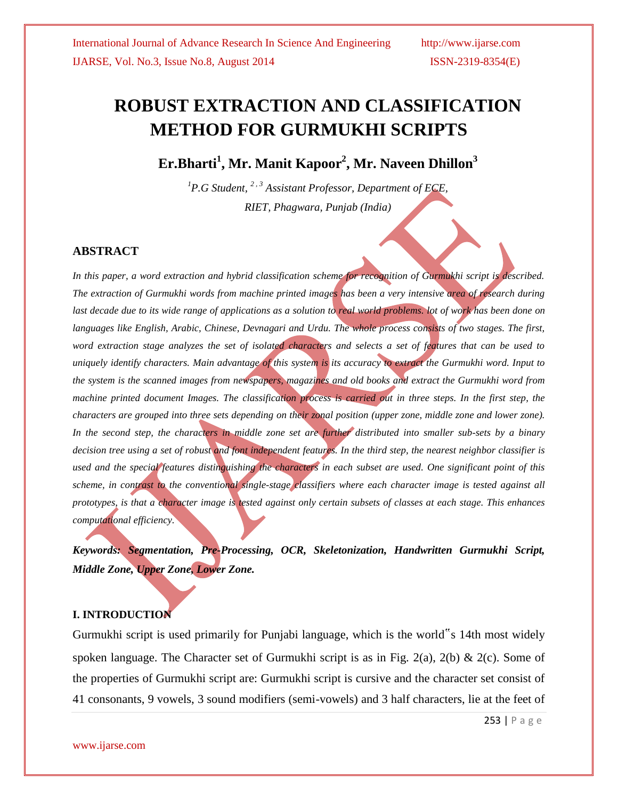# **ROBUST EXTRACTION AND CLASSIFICATION METHOD FOR GURMUKHI SCRIPTS**

**Er.Bharti<sup>1</sup> , Mr. Manit Kapoor<sup>2</sup> , Mr. Naveen Dhillon<sup>3</sup>**

*<sup>1</sup>P.G Student, <sup>2</sup> , <sup>3</sup> Assistant Professor, Department of ECE, RIET, Phagwara, Punjab (India)*

# **ABSTRACT**

*In this paper, a word extraction and hybrid classification scheme for recognition of Gurmukhi script is described. The extraction of Gurmukhi words from machine printed images has been a very intensive area of research during*  last decade due to its wide range of applications as a solution to real world problems. lot of work has been done on *languages like English, Arabic, Chinese, Devnagari and Urdu. The whole process consists of two stages. The first, word extraction stage analyzes the set of isolated characters and selects a set of features that can be used to uniquely identify characters. Main advantage of this system is its accuracy to extract the Gurmukhi word. Input to the system is the scanned images from newspapers, magazines and old books and extract the Gurmukhi word from machine* printed document Images. The classification process is carried out in three steps. In the first step, the *characters are grouped into three sets depending on their zonal position (upper zone, middle zone and lower zone). In the second step, the characters in middle zone set are further distributed into smaller sub-sets by a binary decision tree using a set of robust and font independent features. In the third step, the nearest neighbor classifier is used and the special features distinguishing the characters in each subset are used. One significant point of this scheme, in contrast to the conventional single-stage classifiers where each character image is tested against all prototypes, is that a character image is tested against only certain subsets of classes at each stage. This enhances computational efficiency.*

*Keywords: Segmentation, Pre-Processing, OCR, Skeletonization, Handwritten Gurmukhi Script, Middle Zone, Upper Zone, Lower Zone.*

# **I. INTRODUCTION**

Gurmukhi script is used primarily for Punjabi language, which is the world"s 14th most widely spoken language. The Character set of Gurmukhi script is as in Fig. 2(a), 2(b) & 2(c). Some of the properties of Gurmukhi script are: Gurmukhi script is cursive and the character set consist of 41 consonants, 9 vowels, 3 sound modifiers (semi-vowels) and 3 half characters, lie at the feet of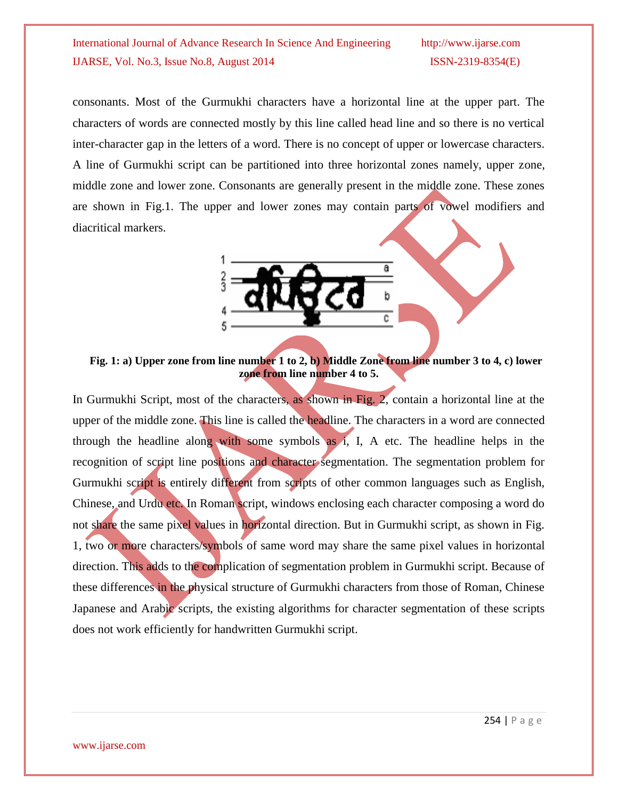consonants. Most of the Gurmukhi characters have a horizontal line at the upper part. The characters of words are connected mostly by this line called head line and so there is no vertical inter-character gap in the letters of a word. There is no concept of upper or lowercase characters. A line of Gurmukhi script can be partitioned into three horizontal zones namely, upper zone, middle zone and lower zone. Consonants are generally present in the middle zone. These zones are shown in Fig.1. The upper and lower zones may contain parts of vowel modifiers and diacritical markers.



**Fig. 1: a) Upper zone from line number 1 to 2, b) Middle Zone from line number 3 to 4, c) lower zone from line number 4 to 5.**

In Gurmukhi Script, most of the characters, as shown in Fig. 2, contain a horizontal line at the upper of the middle zone. This line is called the headline. The characters in a word are connected through the headline along with some symbols as i, I, A etc. The headline helps in the recognition of script line positions and character segmentation. The segmentation problem for Gurmukhi script is entirely different from scripts of other common languages such as English, Chinese, and Urdu etc. In Roman script, windows enclosing each character composing a word do not share the same pixel values in horizontal direction. But in Gurmukhi script, as shown in Fig. 1, two or more characters/symbols of same word may share the same pixel values in horizontal direction. This adds to the complication of segmentation problem in Gurmukhi script. Because of these differences in the physical structure of Gurmukhi characters from those of Roman, Chinese Japanese and Arabic scripts, the existing algorithms for character segmentation of these scripts does not work efficiently for handwritten Gurmukhi script.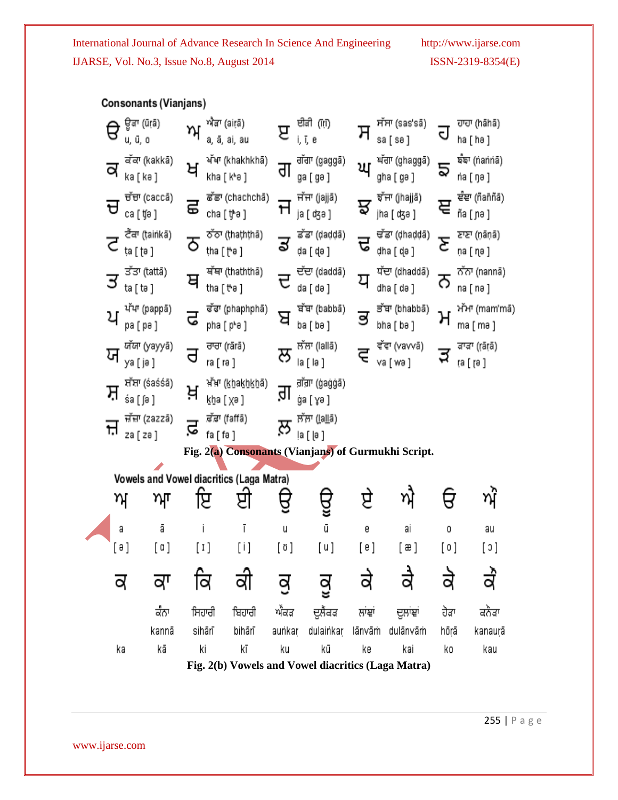| <b>Consonants (Vianjans)</b>                        |                                |       |         |                                 |                                          |                           |                                             |                             |                                                           |                            |                            |  |
|-----------------------------------------------------|--------------------------------|-------|---------|---------------------------------|------------------------------------------|---------------------------|---------------------------------------------|-----------------------------|-----------------------------------------------------------|----------------------------|----------------------------|--|
|                                                     | ਊਕਾ (ūṛā)<br>В<br>u, ū, o      |       | ਅ       | ਐਂਡਾ (airā)<br>a, ā, ai, au     |                                          | ੲ                         | ਈਕੀ (iti)<br>i, ï, e                        | ਸ                           | ਸੱਸਾ (sas'sã)<br>sa [ sə ]                                | J                          | ਹਾਹਾ (hāhā)<br>ha [ hə ]   |  |
| ਕੱਕਾ (kakkā)<br>ਕ<br>ka [ kə ]                      |                                | ਖ     |         | ਖੱਖਾ (khakhkhā)<br>kha [ kʰə ]  | ਗ                                        | ਗੱਗਾ (gaggā)<br>ga [ gə ] | ਘ                                           | ਘੱਗਾ (ghaggā)<br>gha [ gə ] | వ్                                                        | ৰ্ষকা (nanna)<br>na ( ŋə ) |                            |  |
|                                                     | ਚੱਚਾ (caccã)<br>ਚ<br>ca [ ʧə ] |       | ਛ       | ਛੱਛਾ (chachchā)<br>cha [ t੍βə ] |                                          | Ħ                         | नॉन्ग (jajjā)<br>ja [ ʤə ]                  | ਝ                           | ਝੱਜਾ (jhajjā)<br>jha [ ʤə ]                               |                            | ਞੰਞਾ (ñaññã)<br>ñа ( ɲə )  |  |
|                                                     | ਟੈਕਾ (tainkā)<br>ta [ t̪ə ]    |       | ਠ       | ਠੱਠਾ (ṭhaṭhṭhā)<br>tha [ [*ə ]  |                                          | ਡ                         | ਡੱਡਾ (daddā)<br>da [ d̥ə ]                  | ਢ                           | ਢੱਡਾ (dhaddā)<br>dha [ d̥a ]                              | ٤                          | ਣਾਣਾ (nāṇā)<br>na [ nേ ]   |  |
|                                                     | ਤੱਤਾ (tattā)<br>ਤ<br>ta [ tə ] |       | ਥ       | tha [ tʰə ]                     | ਬੱਥਾ (thaththā)                          |                           | ਦੱਦਾ (daddā)<br>da [ də ]                   | ਧ                           | ਧੱਦਾ (dhaddā)<br>dha [ də ]                               | ౧                          | ਨੱਨਾ (nannã)<br>na [ nə ]  |  |
|                                                     | ਪੱਪਾ (pappā)<br>ਪ<br>ра [ ра ] |       | ਫ       |                                 | ਫੱਫਾ (phaphphã)<br>pha [ pʰə ]           | ਬ                         | ਬੱਬਾ (babbā)<br>ba [ bə ]                   |                             | ਭੱਬਾ (bhabbā)<br>bha [ bə ]                               | ካ                          | ਮੱਮਾ (mam'mā`<br>ma [ mə ] |  |
|                                                     | ਯੱਯਾ (yayyā)<br>ਯ<br>уа [ ја ] |       | ਰ       | ra [ rə ]                       | ਰਾਰਾ (rārā)                              | ਲ                         | ਲੱਲਾ (Iallā)<br>la [ lə ]                   | É                           | ਵੱਵਾ (vavvã)<br>va [ wə ]                                 | ನ                          | ਕਾਕਾ ((āiā)<br>ra [ rə ]   |  |
| ਸੱਸ਼ਾ (śaśśā)<br>ਸ਼<br>śa [∫ə ]                     |                                |       | ਖ਼      | ਖ਼ੱਖਾ (khakhkhā)<br>kba ( xə )  |                                          | lb                        | , तॉन्रा (ġaġġã)<br>ģa [ ɣə ]               |                             |                                                           |                            |                            |  |
| ਜ਼ੱਜ਼ਾ (zazzā)<br>۲,<br>za [ zə ]                   |                                |       | ⊐<br>s. | fa [ fə ]                       | ,ਫ਼ੱਫ਼ਾ (faffā)                          | ਲ਼਼                       | ਲੱਲਾ ( <u>l</u> a <u>ll</u> ã)<br>ļa [  a ] |                             |                                                           |                            |                            |  |
| Fig. 2(a) Consonants (Vianjans) of Gurmukhi Script. |                                |       |         |                                 |                                          |                           |                                             |                             |                                                           |                            |                            |  |
|                                                     |                                |       |         |                                 | Vowels and Vowel diacritics (Laga Matra) |                           |                                             |                             |                                                           |                            |                            |  |
|                                                     | ਅ<br>ਆ                         |       |         | Я<br>प्ट                        |                                          |                           |                                             |                             | ੲ<br>η                                                    |                            |                            |  |
|                                                     | ā<br>a                         |       |         | Ī                               |                                          | u                         | ū                                           | e                           | ai                                                        | 0                          | au                         |  |
|                                                     | [ə]                            | [ a ] |         | $[1]$                           | [i]                                      | $[\mathfrak{v}]$          | [u]                                         | [e]                         | [æ]                                                       | [0]                        | [၁]                        |  |
|                                                     |                                |       |         |                                 |                                          | q                         |                                             |                             |                                                           |                            |                            |  |
|                                                     |                                | ਕੰਨਾ  |         | ਸਿਹਾਰੀ                          | ਬਿਹਾਰੀ                                   | ਐਕੜ                       | ਦੁਲੈਂਕੜ                                     | ਲਾਂਞਾਂ                      | ਦੁਲਾਂਞਾਂ                                                  | ਹੋੜਾ                       | ਕਨੈਂਡਾ                     |  |
|                                                     |                                | kannā |         | sihārī                          | bihārī                                   | aunkar                    | dulainkar                                   | lānvāṁ                      | dulānvām                                                  | hōrā                       | kanaurā                    |  |
|                                                     | ka                             | kā    |         | ki                              | kī                                       | ku                        | kū                                          | ke                          | kai                                                       | kο                         | kau                        |  |
|                                                     |                                |       |         |                                 |                                          |                           |                                             |                             | $\Gamma$ ig $2(h)$ Voyalgend Voyal diserting (Lege Motro) |                            |                            |  |

**Fig. 2(b) Vowels and Vowel diacritics (Laga Matra)**

www.ijarse.com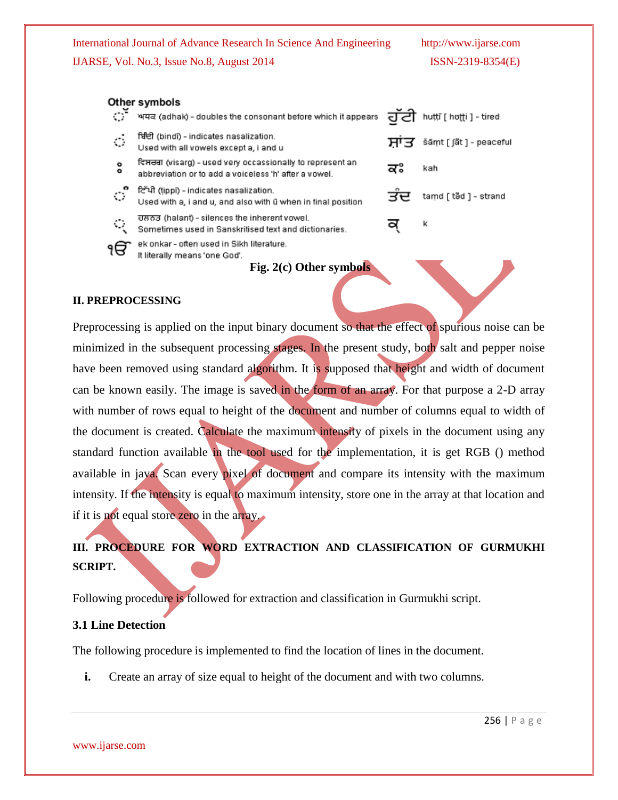#### Other symbols

| ੱ                       | ਅਧਕ (adhak) - doubles the consonant before which it appears                                                       |     | ਹੱਟੀ huttī [ hʊtti ] - tired |
|-------------------------|-------------------------------------------------------------------------------------------------------------------|-----|------------------------------|
| $\mathcal{L}$           | ਬਿੰਦੀ (bindī) - indicates nasalization.<br>Used with all vowels except a, i and u                                 | ਸਾਤ | šāṃt [ ʃãt ] - peaceful      |
| $\bullet$<br>$\bullet$  | ਵਿਸਰਗ (visarg) - used very occassionally to represent an<br>abbreviation or to add a voiceless 'h' after a vowel. | ਕਃ  | kah                          |
| ੱ                       | ਟਿੱਪੀ (tippī) - indicates nasalization.<br>Used with a, i and u, and also with ū when in final position           | ਤਦ  | tamd [ täd ] - strand        |
| $\langle \cdot \rangle$ | ਹਲਨਤ (halant) - silences the inherent vowel.<br>Sometimes used in Sanskritised text and dictionaries.             |     | k                            |
| ۱đ                      | ek onkar - often used in Sikh literature.<br>It literally means 'one God'.                                        |     |                              |

**Fig. 2(c) Other symbols**

## **II. PREPROCESSING**

Preprocessing is applied on the input binary document so that the effect of spurious noise can be minimized in the subsequent processing stages. In the present study, both salt and pepper noise have been removed using standard algorithm. It is supposed that height and width of document can be known easily. The image is saved in the form of an array. For that purpose a 2-D array with number of rows equal to height of the document and number of columns equal to width of the document is created. Calculate the maximum intensity of pixels in the document using any standard function available in the tool used for the implementation, it is get RGB () method available in java. Scan every pixel of document and compare its intensity with the maximum intensity. If the intensity is equal to maximum intensity, store one in the array at that location and if it is not equal store zero in the array.

# **III. PROCEDURE FOR WORD EXTRACTION AND CLASSIFICATION OF GURMUKHI SCRIPT.**

Following procedure is followed for extraction and classification in Gurmukhi script.

# **3.1 Line Detection**

The following procedure is implemented to find the location of lines in the document.

**i.** Create an array of size equal to height of the document and with two columns.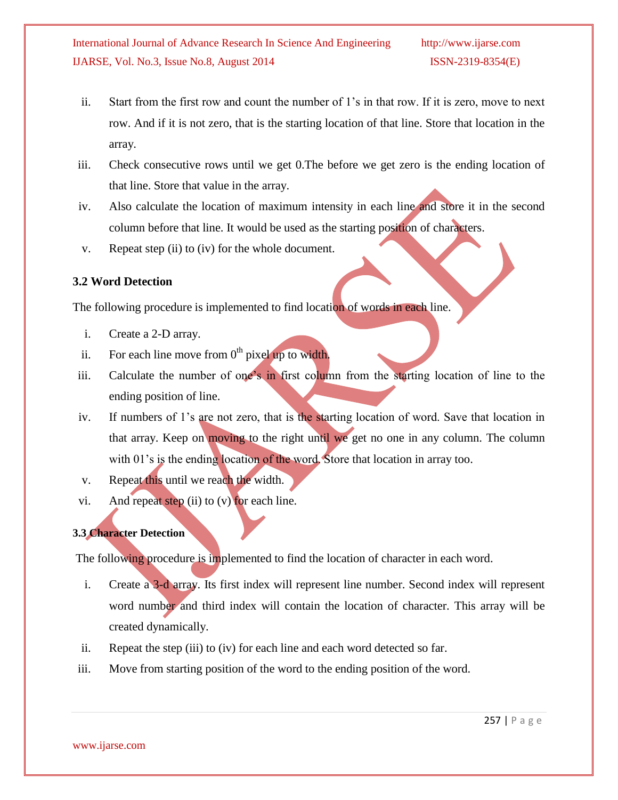- ii. Start from the first row and count the number of 1's in that row. If it is zero, move to next row. And if it is not zero, that is the starting location of that line. Store that location in the array.
- iii. Check consecutive rows until we get 0.The before we get zero is the ending location of that line. Store that value in the array.
- iv. Also calculate the location of maximum intensity in each line and store it in the second column before that line. It would be used as the starting position of characters.
- v. Repeat step (ii) to (iv) for the whole document.

# **3.2 Word Detection**

The following procedure is implemented to find location of words in each line.

- i. Create a 2-D array.
- ii. For each line move from  $0<sup>th</sup>$  pixel up to width.
- iii. Calculate the number of one's in first column from the starting location of line to the ending position of line.
- iv. If numbers of 1's are not zero, that is the starting location of word. Save that location in that array. Keep on moving to the right until we get no one in any column. The column with 01's is the ending location of the word. Store that location in array too.
- v. Repeat this until we reach the width.
- vi. And repeat step (ii) to  $(v)$  for each line.

# **3.3 Character Detection**

The following procedure is implemented to find the location of character in each word.

- i. Create a 3-d array. Its first index will represent line number. Second index will represent word number and third index will contain the location of character. This array will be created dynamically.
- ii. Repeat the step (iii) to (iv) for each line and each word detected so far.
- iii. Move from starting position of the word to the ending position of the word.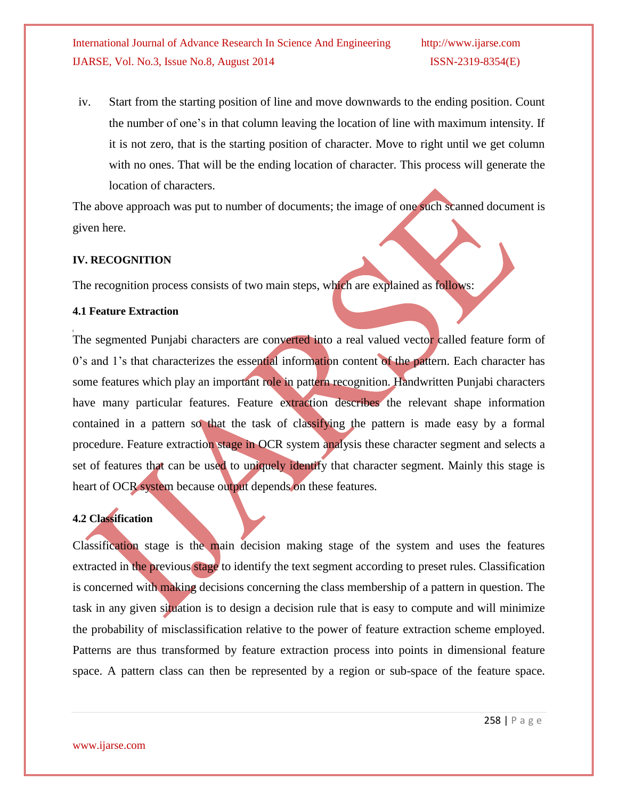iv. Start from the starting position of line and move downwards to the ending position. Count the number of one's in that column leaving the location of line with maximum intensity. If it is not zero, that is the starting position of character. Move to right until we get column with no ones. That will be the ending location of character. This process will generate the location of characters.

The above approach was put to number of documents; the image of one such scanned document is given here.

## **IV. RECOGNITION**

The recognition process consists of two main steps, which are explained as follows:

## **4.1 Feature Extraction**

The segmented Punjabi characters are converted into a real valued vector called feature form of 0's and 1's that characterizes the essential information content of the pattern. Each character has some features which play an important role in pattern recognition. Handwritten Punjabi characters have many particular features. Feature extraction describes the relevant shape information contained in a pattern so that the task of classifying the pattern is made easy by a formal procedure. Feature extraction stage in OCR system analysis these character segment and selects a set of features that can be used to uniquely identify that character segment. Mainly this stage is heart of OCR system because output depends on these features.

# **4.2 Classification**

Classification stage is the main decision making stage of the system and uses the features extracted in the previous stage to identify the text segment according to preset rules. Classification is concerned with making decisions concerning the class membership of a pattern in question. The task in any given situation is to design a decision rule that is easy to compute and will minimize the probability of misclassification relative to the power of feature extraction scheme employed. Patterns are thus transformed by feature extraction process into points in dimensional feature space. A pattern class can then be represented by a region or sub-space of the feature space.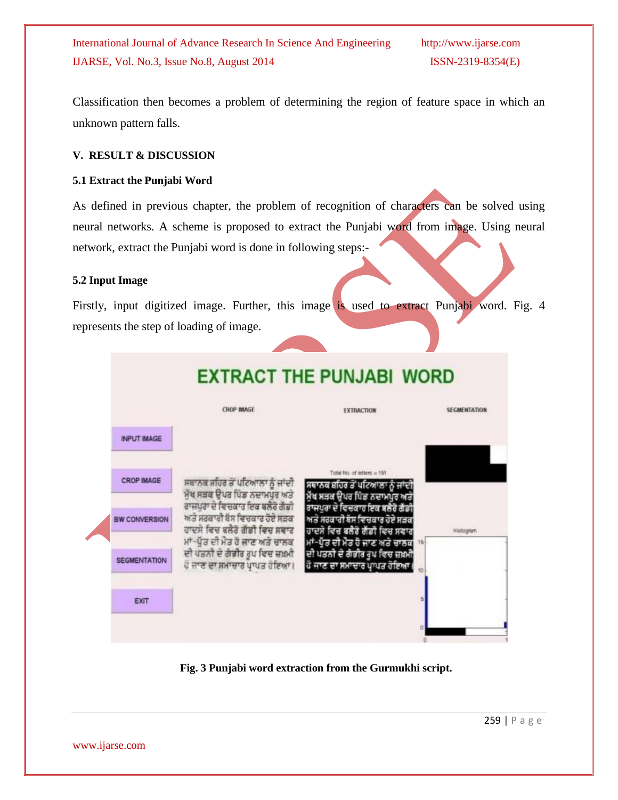Classification then becomes a problem of determining the region of feature space in which an unknown pattern falls.

# **V. RESULT & DISCUSSION**

# **5.1 Extract the Punjabi Word**

As defined in previous chapter, the problem of recognition of characters can be solved using neural networks. A scheme is proposed to extract the Punjabi word from image. Using neural network, extract the Punjabi word is done in following steps:-

# **5.2 Input Image**

Firstly, input digitized image. Further, this image is used to extract Punjabi word. Fig. 4 represents the step of loading of image.



# **Fig. 3 Punjabi word extraction from the Gurmukhi script.**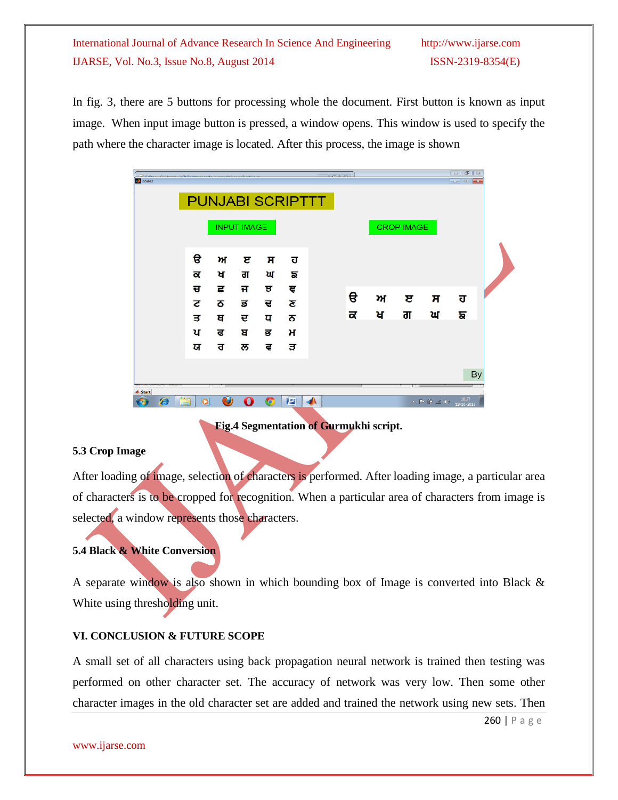In fig. 3, there are 5 buttons for processing whole the document. First button is known as input image. When input image button is pressed, a window opens. This window is used to specify the path where the character image is located. After this process, the image is shown

| code2                                        |                |   | <b>CONTRACTOR</b>  |                       |                         | <b>Contractive</b> |              |              |                   |                                                                                                                                                                                                                                                                                                                                                                                                                                                 | $\bigcirc$<br>$\mathbb{Z}$<br>$\qquad \qquad =$<br>$\Box$ $\Box$ $\mathbf{x}$ |  |
|----------------------------------------------|----------------|---|--------------------|-----------------------|-------------------------|--------------------|--------------|--------------|-------------------|-------------------------------------------------------------------------------------------------------------------------------------------------------------------------------------------------------------------------------------------------------------------------------------------------------------------------------------------------------------------------------------------------------------------------------------------------|-------------------------------------------------------------------------------|--|
|                                              |                |   |                    |                       | <b>PUNJABI SCRIPTTT</b> |                    |              |              |                   |                                                                                                                                                                                                                                                                                                                                                                                                                                                 |                                                                               |  |
|                                              |                |   | <b>INPUT IMAGE</b> |                       |                         |                    |              |              | <b>CROP IMAGE</b> |                                                                                                                                                                                                                                                                                                                                                                                                                                                 |                                                                               |  |
|                                              |                |   |                    |                       |                         |                    |              |              |                   |                                                                                                                                                                                                                                                                                                                                                                                                                                                 |                                                                               |  |
|                                              | €              | ਅ | ੲ                  | π                     | ਹ                       |                    |              |              |                   |                                                                                                                                                                                                                                                                                                                                                                                                                                                 |                                                                               |  |
|                                              | ਕ              | ਖ | ਗ                  | ਘ                     | ਙ                       |                    |              |              |                   |                                                                                                                                                                                                                                                                                                                                                                                                                                                 |                                                                               |  |
|                                              | ਚ              | ਛ | ਜ                  | ਝ                     | ਞ                       |                    | $\mathbf{e}$ | $\mathbf{m}$ | ੲ                 | $\overline{H}$                                                                                                                                                                                                                                                                                                                                                                                                                                  | ਹ                                                                             |  |
|                                              | 2              | ਠ | ਡ                  | ਢ                     | 2                       |                    |              |              |                   |                                                                                                                                                                                                                                                                                                                                                                                                                                                 |                                                                               |  |
|                                              | ਤ              | ਥ | ਦ                  | प                     | ਨ                       |                    | ਕ            | ਖ            | ਗ                 | ਘ                                                                                                                                                                                                                                                                                                                                                                                                                                               | ਙ                                                                             |  |
|                                              | ਪ              | ਫ | ਬ                  | ਭ                     | н                       |                    |              |              |                   |                                                                                                                                                                                                                                                                                                                                                                                                                                                 |                                                                               |  |
|                                              | ਯ              | ਰ | ਲ                  | ਵ                     | ੜ                       |                    |              |              |                   |                                                                                                                                                                                                                                                                                                                                                                                                                                                 |                                                                               |  |
|                                              |                |   |                    |                       |                         |                    |              |              |                   |                                                                                                                                                                                                                                                                                                                                                                                                                                                 | By                                                                            |  |
| <b>A</b> Start<br>$\boldsymbol{\mathscr{E}}$ | ä<br>$\bullet$ | O |                    | $\boldsymbol{\Theta}$ | $\frac{Wz}{2}$          |                    |              |              |                   | $\mathbf{A} = \begin{bmatrix} \mathbf{B} & \mathbf{B} & \mathbf{B} & \mathbf{B} \end{bmatrix} \mathbf{B} \quad \mathbf{A} \mathbf{B} \quad \mathbf{B} \mathbf{B} \quad \mathbf{B} \mathbf{B} \quad \mathbf{B} \mathbf{B} \quad \mathbf{B} \mathbf{B} \quad \mathbf{B} \mathbf{B} \mathbf{B} \quad \mathbf{B} \mathbf{B} \mathbf{B} \mathbf{B} \mathbf{B} \mathbf{B} \mathbf{B} \mathbf{B} \mathbf{B} \mathbf{B} \mathbf{B} \mathbf{B} \mathbf{$ | 18:27<br>19-10-2013                                                           |  |

**Fig.4 Segmentation of Gurmukhi script.**

### **5.3 Crop Image**

After loading of image, selection of characters is performed. After loading image, a particular area of characters is to be cropped for recognition. When a particular area of characters from image is selected, a window represents those characters.

# **5.4 Black & White Conversion**

A separate window is also shown in which bounding box of Image is converted into Black & White using thresholding unit.

### **VI. CONCLUSION & FUTURE SCOPE**

A small set of all characters using back propagation neural network is trained then testing was performed on other character set. The accuracy of network was very low. Then some other character images in the old character set are added and trained the network using new sets. Then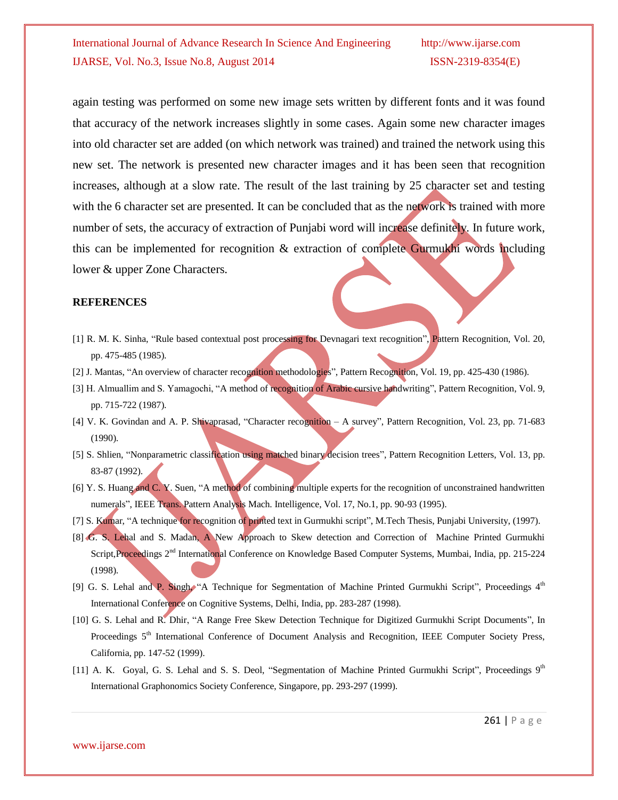again testing was performed on some new image sets written by different fonts and it was found that accuracy of the network increases slightly in some cases. Again some new character images into old character set are added (on which network was trained) and trained the network using this new set. The network is presented new character images and it has been seen that recognition increases, although at a slow rate. The result of the last training by 25 character set and testing with the 6 character set are presented. It can be concluded that as the network is trained with more number of sets, the accuracy of extraction of Punjabi word will increase definitely. In future work, this can be implemented for recognition  $\&$  extraction of complete Gurmukhi words including lower & upper Zone Characters.

#### **REFERENCES**

- [1] R. M. K. Sinha, "Rule based contextual post processing for Devnagari text recognition", Pattern Recognition, Vol. 20, pp. 475-485 (1985).
- [2] J. Mantas, "An overview of character recognition methodologies", Pattern Recognition, Vol. 19, pp. 425-430 (1986).
- [3] H. Almuallim and S. Yamagochi, "A method of recognition of Arabic cursive handwriting", Pattern Recognition, Vol. 9, pp. 715-722 (1987).
- [4] V. K. Govindan and A. P. Shivaprasad, "Character recognition A survey", Pattern Recognition, Vol. 23, pp. 71-683 (1990).
- [5] S. Shlien, "Nonparametric classification using matched binary decision trees", Pattern Recognition Letters, Vol. 13, pp. 83-87 (1992).
- [6] Y. S. Huang and C. Y. Suen, "A method of combining multiple experts for the recognition of unconstrained handwritten numerals", IEEE Trans. Pattern Analysis Mach. Intelligence, Vol. 17, No.1, pp. 90-93 (1995).
- [7] S. Kumar, "A technique for recognition of printed text in Gurmukhi script", M.Tech Thesis, Punjabi University, (1997).
- [8] G. S. Lehal and S. Madan, A New Approach to Skew detection and Correction of Machine Printed Gurmukhi Script, Proceedings 2<sup>nd</sup> International Conference on Knowledge Based Computer Systems, Mumbai, India, pp. 215-224 (1998).
- [9] G. S. Lehal and P. Singh, "A Technique for Segmentation of Machine Printed Gurmukhi Script", Proceedings 4<sup>th</sup> International Conference on Cognitive Systems, Delhi, India, pp. 283-287 (1998).
- [10] G. S. Lehal and R. Dhir, "A Range Free Skew Detection Technique for Digitized Gurmukhi Script Documents", In Proceedings 5<sup>th</sup> International Conference of Document Analysis and Recognition, IEEE Computer Society Press, California, pp. 147-52 (1999).
- [11] A. K. Goyal, G. S. Lehal and S. S. Deol, "Segmentation of Machine Printed Gurmukhi Script", Proceedings 9<sup>th</sup> International Graphonomics Society Conference, Singapore, pp. 293-297 (1999).